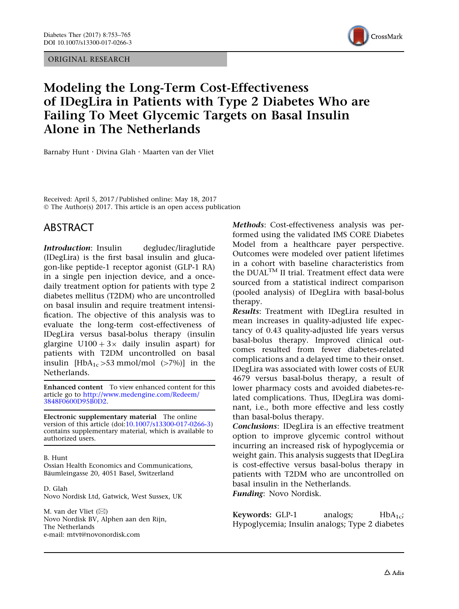ORIGINAL RESEARCH



# Modeling the Long-Term Cost-Effectiveness of IDegLira in Patients with Type 2 Diabetes Who are Failing To Meet Glycemic Targets on Basal Insulin Alone in The Netherlands

Barnaby Hunt · Divina Glah · Maarten van der Vliet

Received: April 5, 2017 / Published online: May 18, 2017 © The Author(s) 2017. This article is an open access publication

## ABSTRACT

Introduction: Insulin degludec/liraglutide (IDegLira) is the first basal insulin and glucagon-like peptide-1 receptor agonist (GLP-1 RA) in a single pen injection device, and a oncedaily treatment option for patients with type 2 diabetes mellitus (T2DM) who are uncontrolled on basal insulin and require treatment intensification. The objective of this analysis was to evaluate the long-term cost-effectiveness of IDegLira versus basal-bolus therapy (insulin glargine  $U100 + 3 \times$  daily insulin aspart) for patients with T2DM uncontrolled on basal insulin [HbA<sub>1c</sub> > 53 mmol/mol (>7%)] in the Netherlands.

Enhanced content To view enhanced content for this article go to [http://www.medengine.com/Redeem/](http://www.medengine.com/Redeem/3848F0600D95B0D2) [3848F0600D95B0D2](http://www.medengine.com/Redeem/3848F0600D95B0D2).

Electronic supplementary material The online version of this article (doi:[10.1007/s13300-017-0266-3\)](http://dx.doi.org/10.1007/s13300-017-0266-3) contains supplementary material, which is available to authorized users.

B. Hunt

Ossian Health Economics and Communications, Bäumleingasse 20, 4051 Basel, Switzerland

D. Glah Novo Nordisk Ltd, Gatwick, West Sussex, UK

M. van der Vliet  $(\boxtimes)$ Novo Nordisk BV, Alphen aan den Rijn, The Netherlands e-mail: mtvt@novonordisk.com

Methods: Cost-effectiveness analysis was performed using the validated IMS CORE Diabetes Model from a healthcare payer perspective. Outcomes were modeled over patient lifetimes in a cohort with baseline characteristics from the DUALTM II trial. Treatment effect data were sourced from a statistical indirect comparison (pooled analysis) of IDegLira with basal-bolus therapy.

Results: Treatment with IDegLira resulted in mean increases in quality-adjusted life expectancy of 0.43 quality-adjusted life years versus basal-bolus therapy. Improved clinical outcomes resulted from fewer diabetes-related complications and a delayed time to their onset. IDegLira was associated with lower costs of EUR 4679 versus basal-bolus therapy, a result of lower pharmacy costs and avoided diabetes-related complications. Thus, IDegLira was dominant, i.e., both more effective and less costly than basal-bolus therapy.

Conclusions: IDegLira is an effective treatment option to improve glycemic control without incurring an increased risk of hypoglycemia or weight gain. This analysis suggests that IDegLira is cost-effective versus basal-bolus therapy in patients with T2DM who are uncontrolled on basal insulin in the Netherlands.

Funding: Novo Nordisk.

Keywords: GLP-1 analogs;  $HbA_{1c}$ ; Hypoglycemia; Insulin analogs; Type 2 diabetes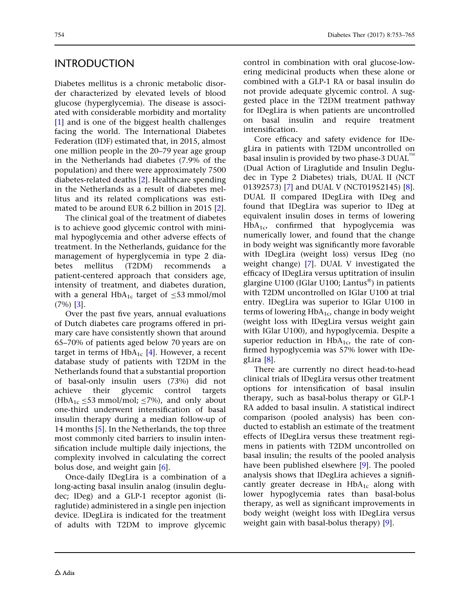## INTRODUCTION

Diabetes mellitus is a chronic metabolic disorder characterized by elevated levels of blood glucose (hyperglycemia). The disease is associated with considerable morbidity and mortality [\[1\]](#page-11-0) and is one of the biggest health challenges facing the world. The International Diabetes Federation (IDF) estimated that, in 2015, almost one million people in the 20–79 year age group in the Netherlands had diabetes (7.9% of the population) and there were approximately 7500 diabetes-related deaths [[2\]](#page-11-0). Healthcare spending in the Netherlands as a result of diabetes mellitus and its related complications was estimated to be around EUR 6.2 billion in 2015 [\[2](#page-11-0)].

The clinical goal of the treatment of diabetes is to achieve good glycemic control with minimal hypoglycemia and other adverse effects of treatment. In the Netherlands, guidance for the management of hyperglycemia in type 2 diabetes mellitus (T2DM) recommends a patient-centered approach that considers age, intensity of treatment, and diabetes duration, with a general HbA<sub>1c</sub> target of  $\leq$ 53 mmol/mol (7%) [\[3](#page-11-0)].

Over the past five years, annual evaluations of Dutch diabetes care programs offered in primary care have consistently shown that around 65–70% of patients aged below 70 years are on target in terms of  $HbA_{1c}$  [[4](#page-11-0)]. However, a recent database study of patients with T2DM in the Netherlands found that a substantial proportion of basal-only insulin users (73%) did not achieve their glycemic control targets  $(HbA_{1c} \leq 53$  mmol/mol;  $\leq 7\%$ ), and only about one-third underwent intensification of basal insulin therapy during a median follow-up of 14 months [[5](#page-11-0)]. In the Netherlands, the top three most commonly cited barriers to insulin intensification include multiple daily injections, the complexity involved in calculating the correct bolus dose, and weight gain [\[6](#page-11-0)].

Once-daily IDegLira is a combination of a long-acting basal insulin analog (insulin degludec; IDeg) and a GLP-1 receptor agonist (liraglutide) administered in a single pen injection device. IDegLira is indicated for the treatment of adults with T2DM to improve glycemic control in combination with oral glucose-lowering medicinal products when these alone or combined with a GLP-1 RA or basal insulin do not provide adequate glycemic control. A suggested place in the T2DM treatment pathway for IDegLira is when patients are uncontrolled basal insulin and require treatment intensification.

Core efficacy and safety evidence for IDegLira in patients with T2DM uncontrolled on basal insulin is provided by two phase-3 DUAL<sup>"</sup> (Dual Action of Liraglutide and Insulin Degludec in Type 2 Diabetes) trials, DUAL II (NCT 01392573) [[7](#page-11-0)] and DUAL V (NCT01952145) [[8](#page-11-0)]. DUAL II compared IDegLira with IDeg and found that IDegLira was superior to IDeg at equivalent insulin doses in terms of lowering  $HbA_{1c}$ , confirmed that hypoglycemia was numerically lower, and found that the change in body weight was significantly more favorable with IDegLira (weight loss) versus IDeg (no weight change) [[7](#page-11-0)]. DUAL V investigated the efficacy of IDegLira versus uptitration of insulin glargine U100 (IGlar U100; Lantus<sup>®</sup>) in patients with T2DM uncontrolled on IGlar U100 at trial entry. IDegLira was superior to IGlar U100 in terms of lowering  $HbA_{1c}$ , change in body weight (weight loss with IDegLira versus weight gain with IGlar U100), and hypoglycemia. Despite a superior reduction in  $HbA_{1c}$ , the rate of confirmed hypoglycemia was 57% lower with IDegLira [[8\]](#page-11-0).

There are currently no direct head-to-head clinical trials of IDegLira versus other treatment options for intensification of basal insulin therapy, such as basal-bolus therapy or GLP-1 RA added to basal insulin. A statistical indirect comparison (pooled analysis) has been conducted to establish an estimate of the treatment effects of IDegLira versus these treatment regimens in patients with T2DM uncontrolled on basal insulin; the results of the pooled analysis have been published elsewhere [[9](#page-12-0)]. The pooled analysis shows that IDegLira achieves a significantly greater decrease in  $HbA_{1c}$  along with lower hypoglycemia rates than basal-bolus therapy, as well as significant improvements in body weight (weight loss with IDegLira versus weight gain with basal-bolus therapy) [\[9\]](#page-12-0).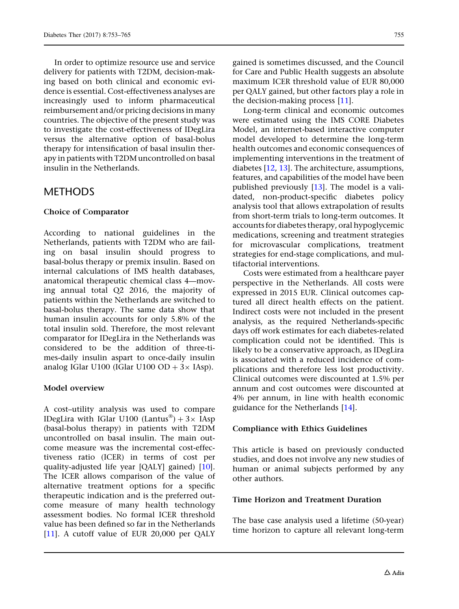In order to optimize resource use and service delivery for patients with T2DM, decision-making based on both clinical and economic evidence is essential. Cost-effectiveness analyses are increasingly used to inform pharmaceutical reimbursement and/or pricing decisions in many countries. The objective of the present study was to investigate the cost-effectiveness of IDegLira versus the alternative option of basal-bolus therapy for intensification of basal insulin therapy in patients with T2DM uncontrolled on basal insulin in the Netherlands.

### **METHODS**

#### Choice of Comparator

According to national guidelines in the Netherlands, patients with T2DM who are failing on basal insulin should progress to basal-bolus therapy or premix insulin. Based on internal calculations of IMS health databases, anatomical therapeutic chemical class 4—moving annual total Q2 2016, the majority of patients within the Netherlands are switched to basal-bolus therapy. The same data show that human insulin accounts for only 5.8% of the total insulin sold. Therefore, the most relevant comparator for IDegLira in the Netherlands was considered to be the addition of three-times-daily insulin aspart to once-daily insulin analog IGlar U100 (IGlar U100 OD  $+3\times$  IAsp).

#### Model overview

A cost–utility analysis was used to compare IDegLira with IGlar U100 (Lantus<sup>®</sup>) +  $3 \times$  IAsp (basal-bolus therapy) in patients with T2DM uncontrolled on basal insulin. The main outcome measure was the incremental cost-effectiveness ratio (ICER) in terms of cost per quality-adjusted life year [QALY] gained) [[10\]](#page-12-0). The ICER allows comparison of the value of alternative treatment options for a specific therapeutic indication and is the preferred outcome measure of many health technology assessment bodies. No formal ICER threshold value has been defined so far in the Netherlands [\[11](#page-12-0)]. A cutoff value of EUR 20,000 per QALY

gained is sometimes discussed, and the Council for Care and Public Health suggests an absolute maximum ICER threshold value of EUR 80,000 per QALY gained, but other factors play a role in the decision-making process [\[11\]](#page-12-0).

Long-term clinical and economic outcomes were estimated using the IMS CORE Diabetes Model, an internet-based interactive computer model developed to determine the long-term health outcomes and economic consequences of implementing interventions in the treatment of diabetes [\[12,](#page-12-0) [13\]](#page-12-0). The architecture, assumptions, features, and capabilities of the model have been published previously [\[13\]](#page-12-0). The model is a validated, non-product-specific diabetes policy analysis tool that allows extrapolation of results from short-term trials to long-term outcomes. It accounts for diabetes therapy, oral hypoglycemic medications, screening and treatment strategies for microvascular complications, treatment strategies for end-stage complications, and multifactorial interventions.

Costs were estimated from a healthcare payer perspective in the Netherlands. All costs were expressed in 2015 EUR. Clinical outcomes captured all direct health effects on the patient. Indirect costs were not included in the present analysis, as the required Netherlands-specific days off work estimates for each diabetes-related complication could not be identified. This is likely to be a conservative approach, as IDegLira is associated with a reduced incidence of complications and therefore less lost productivity. Clinical outcomes were discounted at 1.5% per annum and cost outcomes were discounted at 4% per annum, in line with health economic guidance for the Netherlands [\[14\]](#page-12-0).

#### Compliance with Ethics Guidelines

This article is based on previously conducted studies, and does not involve any new studies of human or animal subjects performed by any other authors.

#### Time Horizon and Treatment Duration

The base case analysis used a lifetime (50-year) time horizon to capture all relevant long-term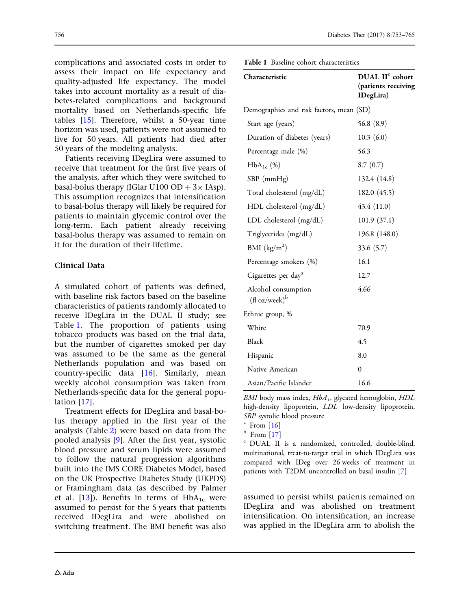complications and associated costs in order to assess their impact on life expectancy and quality-adjusted life expectancy. The model takes into account mortality as a result of diabetes-related complications and background mortality based on Netherlands-specific life tables [\[15\]](#page-12-0). Therefore, whilst a 50-year time horizon was used, patients were not assumed to live for 50 years. All patients had died after 50 years of the modeling analysis.

Patients receiving IDegLira were assumed to receive that treatment for the first five years of the analysis, after which they were switched to basal-bolus therapy (IGlar U100 OD  $+3\times$  IAsp). This assumption recognizes that intensification to basal-bolus therapy will likely be required for patients to maintain glycemic control over the long-term. Each patient already receiving basal-bolus therapy was assumed to remain on it for the duration of their lifetime.

#### Clinical Data

A simulated cohort of patients was defined, with baseline risk factors based on the baseline characteristics of patients randomly allocated to receive IDegLira in the DUAL II study; see Table 1. The proportion of patients using tobacco products was based on the trial data, but the number of cigarettes smoked per day was assumed to be the same as the general Netherlands population and was based on country-specific data [[16](#page-12-0)]. Similarly, mean weekly alcohol consumption was taken from Netherlands-specific data for the general population [\[17\]](#page-12-0).

Treatment effects for IDegLira and basal-bolus therapy applied in the first year of the analysis (Table [2](#page-4-0)) were based on data from the pooled analysis [\[9\]](#page-12-0). After the first year, systolic blood pressure and serum lipids were assumed to follow the natural progression algorithms built into the IMS CORE Diabetes Model, based on the UK Prospective Diabetes Study (UKPDS) or Framingham data (as described by Palmer et al.  $[13]$  $[13]$ ). Benefits in terms of  $HbA_{1c}$  were assumed to persist for the 5 years that patients received IDegLira and were abolished on switching treatment. The BMI benefit was also Table 1 Baseline cohort characteristics

| Characteristic                           | DUAL II <sup>c</sup> cohort<br>(patients receiving<br>IDegLira) |  |  |
|------------------------------------------|-----------------------------------------------------------------|--|--|
| Demographics and risk factors, mean (SD) |                                                                 |  |  |
| Start age (years)                        | 56.8(8.9)                                                       |  |  |
| Duration of diabetes (years)             | 10.3(6.0)                                                       |  |  |
| Percentage male (%)                      | 56.3                                                            |  |  |
| $HbA_{1c}$ (%)                           | 8.7(0.7)                                                        |  |  |
| $SBP$ (mm $Hg$ )                         | 132.4 (14.8)                                                    |  |  |
| Total cholesterol (mg/dL)                | 182.0 (45.5)                                                    |  |  |
| HDL cholesterol (mg/dL)                  | 43.4(11.0)                                                      |  |  |
| LDL cholesterol (mg/dL)                  | 101.9(37.1)                                                     |  |  |
| Triglycerides (mg/dL)                    | 196.8 (148.0)                                                   |  |  |
| BMI $(kg/m^2)$                           | 33.6 (5.7)                                                      |  |  |
| Percentage smokers (%)                   | 16.1                                                            |  |  |
| Cigarettes per day <sup>a</sup>          | 12.7                                                            |  |  |
| Alcohol consumption<br>$(H oz/week)^b$   | 4.66                                                            |  |  |
| Ethnic group, %                          |                                                                 |  |  |
| White                                    | 70.9                                                            |  |  |
| Black                                    | 4.5                                                             |  |  |
| Hispanic                                 | 8.0                                                             |  |  |
| Native American                          | 0                                                               |  |  |
| Asian/Pacific Islander                   | 16.6                                                            |  |  |

 $BMI$  body mass index,  $HbA_{1c}$  glycated hemoglobin,  $HDL$ high-density lipoprotein, LDL low-density lipoprotein,  $\overset{\text{S}BP\text{ }\text{systolic blood pressure}}{\overset{\text{a}}{\text{From [16]}}} \label{eq:16}$  $\overset{\text{S}BP\text{ }\text{systolic blood pressure}}{\overset{\text{a}}{\text{From [16]}}} \label{eq:16}$  $\overset{\text{S}BP\text{ }\text{systolic blood pressure}}{\overset{\text{a}}{\text{From [16]}}} \label{eq:16}$ 

<sup>c</sup> DUAL II is a randomized, controlled, double-blind, multinational, treat-to-target trial in which IDegLira was compared with IDeg over 26 weeks of treatment in patients with T2DM uncontrolled on basal insulin [[7\]](#page-11-0)

assumed to persist whilst patients remained on IDegLira and was abolished on treatment intensification. On intensification, an increase was applied in the IDegLira arm to abolish the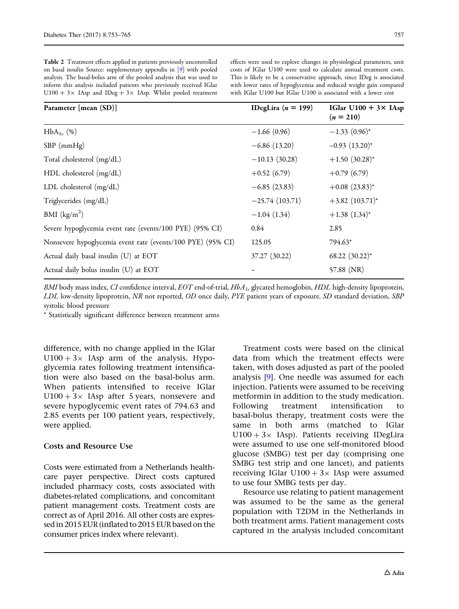<span id="page-4-0"></span>

effects were used to explore changes in physiological parameters, unit costs of IGlar U100 were used to calculate annual treatment costs. This is likely to be a conservative approach, since IDeg is associated with lower rates of hypoglycemia and reduced weight gain compared with IGlar U100 but IGlar U100 is associated with a lower cost

| Parameter [mean (SD)]                                       | IDegLira ( $n = 199$ ) | IGlar $U100 + 3 \times$ IAsp<br>$(n = 210)$ |
|-------------------------------------------------------------|------------------------|---------------------------------------------|
| $HbA_{1c}$ (%)                                              | $-1.66(0.96)$          | $-1.33(0.96)^{*}$                           |
| $SBP$ (mmHg)                                                | $-6.86(13.20)$         | $-0.93$ (13.20)*                            |
| Total cholesterol (mg/dL)                                   | $-10.13(30.28)$        | $+1.50(30.28)^{*}$                          |
| HDL cholesterol (mg/dL)                                     | $+0.52(6.79)$          | $+0.79(6.79)$                               |
| LDL cholesterol (mg/dL)                                     | $-6.85(23.83)$         | $+0.08$ (23.83)*                            |
| Triglycerides (mg/dL)                                       | $-25.74(103.71)$       | $+3.82$ (103.71)*                           |
| BMI $(kg/m^2)$                                              | $-1.04(1.34)$          | $+1.38(1.34)^{*}$                           |
| Severe hypoglycemia event rate (events/100 PYE) (95% CI)    | 0.84                   | 2.85                                        |
| Nonsevere hypoglycemia event rate (events/100 PYE) (95% CI) | 125.05                 | 794.63*                                     |
| Actual daily basal insulin (U) at EOT                       | 37.27 (30.22)          | 68.22 $(30.22)^*$                           |
| Actual daily bolus insulin (U) at EOT                       |                        | 57.88 (NR)                                  |

BMI body mass index, CI confidence interval, EOT end-of-trial,  $HbA_{1c}$  glycated hemoglobin, HDL high-density lipoprotein, LDL low-density lipoprotein, NR not reported, OD once daily, PYE patient years of exposure, SD standard deviation, SBP systolic blood pressure

\* Statistically significant difference between treatment arms

difference, with no change applied in the IGlar  $U100 + 3 \times$  IAsp arm of the analysis. Hypoglycemia rates following treatment intensification were also based on the basal-bolus arm. When patients intensified to receive IGlar  $U100 + 3 \times$  IAsp after 5 years, nonsevere and severe hypoglycemic event rates of 794.63 and 2.85 events per 100 patient years, respectively, were applied.

#### Costs and Resource Use

Costs were estimated from a Netherlands healthcare payer perspective. Direct costs captured included pharmacy costs, costs associated with diabetes-related complications, and concomitant patient management costs. Treatment costs are correct as of April 2016. All other costs are expressed in 2015 EUR (inflated to 2015 EUR based on the consumer prices index where relevant).

Treatment costs were based on the clinical data from which the treatment effects were taken, with doses adjusted as part of the pooled analysis [[9\]](#page-12-0). One needle was assumed for each injection. Patients were assumed to be receiving metformin in addition to the study medication. Following treatment intensification to basal-bolus therapy, treatment costs were the same in both arms (matched to IGlar  $U100 + 3 \times$  IAsp). Patients receiving IDegLira were assumed to use one self-monitored blood glucose (SMBG) test per day (comprising one SMBG test strip and one lancet), and patients receiving IGlar  $U100 + 3 \times$  IAsp were assumed to use four SMBG tests per day.

Resource use relating to patient management was assumed to be the same as the general population with T2DM in the Netherlands in both treatment arms. Patient management costs captured in the analysis included concomitant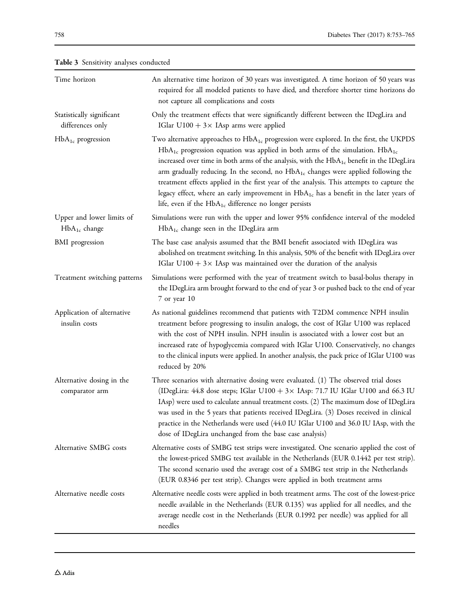| Time horizon                                   | An alternative time horizon of 30 years was investigated. A time horizon of 50 years was<br>required for all modeled patients to have died, and therefore shorter time horizons do<br>not capture all complications and costs                                                                                                                                                                                                                                                                                                                                                                                                                                                                |
|------------------------------------------------|----------------------------------------------------------------------------------------------------------------------------------------------------------------------------------------------------------------------------------------------------------------------------------------------------------------------------------------------------------------------------------------------------------------------------------------------------------------------------------------------------------------------------------------------------------------------------------------------------------------------------------------------------------------------------------------------|
| Statistically significant<br>differences only  | Only the treatment effects that were significantly different between the IDegLira and<br>IGlar $U100 + 3 \times$ IAsp arms were applied                                                                                                                                                                                                                                                                                                                                                                                                                                                                                                                                                      |
| $HbA_{1c}$ progression                         | Two alternative approaches to HbA <sub>1c</sub> progression were explored. In the first, the UKPDS<br>HbA <sub>1c</sub> progression equation was applied in both arms of the simulation. HbA <sub>1c</sub><br>increased over time in both arms of the analysis, with the HbA <sub>1c</sub> benefit in the IDegLira<br>arm gradually reducing. In the second, no HbA <sub>1c</sub> changes were applied following the<br>treatment effects applied in the first year of the analysis. This attempts to capture the<br>legacy effect, where an early improvement in HbA <sub>1c</sub> has a benefit in the later years of<br>life, even if the HbA <sub>1c</sub> difference no longer persists |
| Upper and lower limits of<br>$HbA_{1c}$ change | Simulations were run with the upper and lower 95% confidence interval of the modeled<br>$HbA_{1c}$ change seen in the IDegLira arm                                                                                                                                                                                                                                                                                                                                                                                                                                                                                                                                                           |
| <b>BMI</b> progression                         | The base case analysis assumed that the BMI benefit associated with IDegLira was<br>abolished on treatment switching. In this analysis, 50% of the benefit with IDegLira over<br>IGlar $U100 + 3 \times$ IAsp was maintained over the duration of the analysis                                                                                                                                                                                                                                                                                                                                                                                                                               |
| Treatment switching patterns                   | Simulations were performed with the year of treatment switch to basal-bolus therapy in<br>the IDegLira arm brought forward to the end of year 3 or pushed back to the end of year<br>7 or year 10                                                                                                                                                                                                                                                                                                                                                                                                                                                                                            |
| Application of alternative<br>insulin costs    | As national guidelines recommend that patients with T2DM commence NPH insulin<br>treatment before progressing to insulin analogs, the cost of IGlar U100 was replaced<br>with the cost of NPH insulin. NPH insulin is associated with a lower cost but an<br>increased rate of hypoglycemia compared with IGlar U100. Conservatively, no changes<br>to the clinical inputs were applied. In another analysis, the pack price of IGlar U100 was<br>reduced by 20%                                                                                                                                                                                                                             |
| Alternative dosing in the<br>comparator arm    | Three scenarios with alternative dosing were evaluated. (1) The observed trial doses<br>(IDegLira: 44.8 dose steps; IGlar U100 + 3 $\times$ IAsp: 71.7 IU IGlar U100 and 66.3 IU<br>IAsp) were used to calculate annual treatment costs. (2) The maximum dose of IDegLira<br>was used in the 5 years that patients received IDegLira. (3) Doses received in clinical<br>practice in the Netherlands were used (44.0 IU IGlar U100 and 36.0 IU IAsp, with the<br>dose of IDegLira unchanged from the base case analysis)                                                                                                                                                                      |
| Alternative SMBG costs                         | Alternative costs of SMBG test strips were investigated. One scenario applied the cost of<br>the lowest-priced SMBG test available in the Netherlands (EUR 0.1442 per test strip).<br>The second scenario used the average cost of a SMBG test strip in the Netherlands<br>(EUR 0.8346 per test strip). Changes were applied in both treatment arms                                                                                                                                                                                                                                                                                                                                          |
| Alternative needle costs                       | Alternative needle costs were applied in both treatment arms. The cost of the lowest-price<br>needle available in the Netherlands (EUR 0.135) was applied for all needles, and the<br>average needle cost in the Netherlands (EUR 0.1992 per needle) was applied for all<br>needles                                                                                                                                                                                                                                                                                                                                                                                                          |

## <span id="page-5-0"></span>Table 3 Sensitivity analyses conducted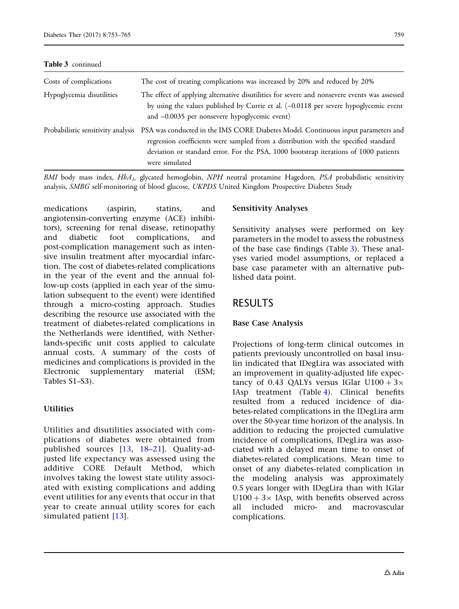| Costs of complications    | The cost of treating complications was increased by 20% and reduced by 20%                                                                                                                                                                                                                                             |
|---------------------------|------------------------------------------------------------------------------------------------------------------------------------------------------------------------------------------------------------------------------------------------------------------------------------------------------------------------|
| Hypoglycemia disutilities | The effect of applying alternative disutilities for severe and nonsevere events was assessed<br>by using the values published by Currie et al. (-0.0118 per severe hypoglycemic event<br>and -0.0035 per nonsevere hypoglycemic event)                                                                                 |
|                           | Probabilistic sensitivity analysis PSA was conducted in the IMS CORE Diabetes Model. Continuous input parameters and<br>regression coefficients were sampled from a distribution with the specified standard<br>deviation or standard error. For the PSA, 1000 bootstrap iterations of 1000 patients<br>were simulated |

Table 3 continued

BMI body mass index,  $HbA<sub>L</sub>$  glycated hemoglobin, NPH neutral protamine Hagedorn, PSA probabilistic sensitivity analysis, SMBG self-monitoring of blood glucose, UKPDS United Kingdom Prospective Diabetes Study

medications (aspirin, statins, and angiotensin-converting enzyme (ACE) inhibitors), screening for renal disease, retinopathy and diabetic foot complications, and post-complication management such as intensive insulin treatment after myocardial infarction. The cost of diabetes-related complications in the year of the event and the annual follow-up costs (applied in each year of the simulation subsequent to the event) were identified through a micro-costing approach. Studies describing the resource use associated with the treatment of diabetes-related complications in the Netherlands were identified, with Netherlands-specific unit costs applied to calculate annual costs. A summary of the costs of medicines and complications is provided in the Electronic supplementary material (ESM; Tables S1–S3).

### Utilities

Utilities and disutilities associated with complications of diabetes were obtained from published sources [[13](#page-12-0), [18–21](#page-12-0)]. Quality-adjusted life expectancy was assessed using the additive CORE Default Method, which involves taking the lowest state utility associated with existing complications and adding event utilities for any events that occur in that year to create annual utility scores for each simulated patient [[13\]](#page-12-0).

#### Sensitivity Analyses

Sensitivity analyses were performed on key parameters in the model to assess the robustness of the base case findings (Table [3](#page-5-0)). These analyses varied model assumptions, or replaced a base case parameter with an alternative published data point.

### RESULTS

#### Base Case Analysis

Projections of long-term clinical outcomes in patients previously uncontrolled on basal insulin indicated that IDegLira was associated with an improvement in quality-adjusted life expectancy of 0.43 QALYs versus IGlar  $U100 + 3\times$ IAsp treatment (Table [4](#page-7-0)). Clinical benefits resulted from a reduced incidence of diabetes-related complications in the IDegLira arm over the 50-year time horizon of the analysis. In addition to reducing the projected cumulative incidence of complications, IDegLira was associated with a delayed mean time to onset of diabetes-related complications. Mean time to onset of any diabetes-related complication in the modeling analysis was approximately 0.5 years longer with IDegLira than with IGlar  $U100 + 3 \times$  IAsp, with benefits observed across all included micro- and macrovascular complications.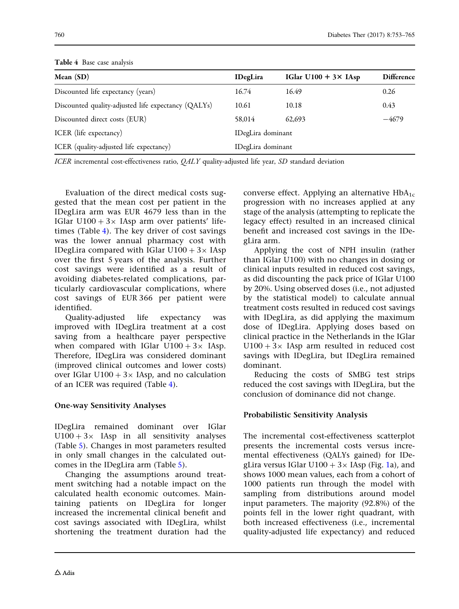| Mean $(SD)$                                         | <b>IDegLira</b>   | IGlar $U100 + 3 \times$ IAsp | <b>Difference</b> |
|-----------------------------------------------------|-------------------|------------------------------|-------------------|
| Discounted life expectancy (years)                  | 16.74             | 16.49                        | 0.26              |
| Discounted quality-adjusted life expectancy (QALYs) | 10.61             | 10.18                        | 0.43              |
| Discounted direct costs (EUR)                       | 58,014            | 62,693                       | $-4679$           |
| ICER (life expectancy)                              | IDegLira dominant |                              |                   |
| ICER (quality-adjusted life expectancy)             | IDegLira dominant |                              |                   |

<span id="page-7-0"></span>Table 4 Base case analysis

ICER incremental cost-effectiveness ratio, QALY quality-adjusted life year, SD standard deviation

Evaluation of the direct medical costs suggested that the mean cost per patient in the IDegLira arm was EUR 4679 less than in the IGlar  $U100 + 3 \times$  IAsp arm over patients' lifetimes (Table 4). The key driver of cost savings was the lower annual pharmacy cost with IDegLira compared with IGlar  $U100 + 3 \times I$ Asp over the first 5 years of the analysis. Further cost savings were identified as a result of avoiding diabetes-related complications, particularly cardiovascular complications, where cost savings of EUR 366 per patient were identified.

Quality-adjusted life expectancy was improved with IDegLira treatment at a cost saving from a healthcare payer perspective when compared with IGlar  $U100 + 3 \times I$ Asp. Therefore, IDegLira was considered dominant (improved clinical outcomes and lower costs) over IGlar  $U100 + 3 \times$  IAsp, and no calculation of an ICER was required (Table 4).

### One-way Sensitivity Analyses

IDegLira remained dominant over IGlar  $U100 + 3 \times$  IAsp in all sensitivity analyses (Table [5\)](#page-8-0). Changes in most parameters resulted in only small changes in the calculated outcomes in the IDegLira arm (Table [5\)](#page-8-0).

Changing the assumptions around treatment switching had a notable impact on the calculated health economic outcomes. Maintaining patients on IDegLira for longer increased the incremental clinical benefit and cost savings associated with IDegLira, whilst shortening the treatment duration had the converse effect. Applying an alternative  $HbA_{1c}$ progression with no increases applied at any stage of the analysis (attempting to replicate the legacy effect) resulted in an increased clinical benefit and increased cost savings in the IDegLira arm.

Applying the cost of NPH insulin (rather than IGlar U100) with no changes in dosing or clinical inputs resulted in reduced cost savings, as did discounting the pack price of IGlar U100 by 20%. Using observed doses (i.e., not adjusted by the statistical model) to calculate annual treatment costs resulted in reduced cost savings with IDegLira, as did applying the maximum dose of IDegLira. Applying doses based on clinical practice in the Netherlands in the IGlar  $U100 + 3 \times$  IAsp arm resulted in reduced cost savings with IDegLira, but IDegLira remained dominant.

Reducing the costs of SMBG test strips reduced the cost savings with IDegLira, but the conclusion of dominance did not change.

### Probabilistic Sensitivity Analysis

The incremental cost-effectiveness scatterplot presents the incremental costs versus incremental effectiveness (QALYs gained) for IDegLira versus IGlar  $U100 + 3 \times$  $U100 + 3 \times$  $U100 + 3 \times$  IAsp (Fig. 1a), and shows 1000 mean values, each from a cohort of 1000 patients run through the model with sampling from distributions around model input parameters. The majority (92.8%) of the points fell in the lower right quadrant, with both increased effectiveness (i.e., incremental quality-adjusted life expectancy) and reduced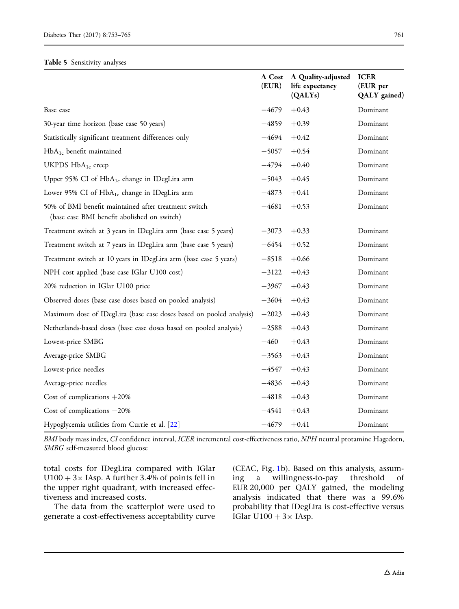#### <span id="page-8-0"></span>Table 5 Sensitivity analyses

|                                                                                                     | $\Delta$ Cost<br>(EUR) | $\Delta$ Quality-adjusted<br>life expectancy<br>(QALYs) | <b>ICER</b><br>(EUR per<br>QALY gained) |
|-----------------------------------------------------------------------------------------------------|------------------------|---------------------------------------------------------|-----------------------------------------|
| Base case                                                                                           | $-4679$                | $+0.43$                                                 | Dominant                                |
| 30-year time horizon (base case 50 years)                                                           | $-4859$                | $+0.39$                                                 | Dominant                                |
| Statistically significant treatment differences only                                                | $-4694$                | $+0.42$                                                 | Dominant                                |
| $HbA_{1c}$ benefit maintained                                                                       | $-5057$                | $+0.54$                                                 | Dominant                                |
| UKPDS HbA <sub>1c</sub> creep                                                                       | $-4794$                | $+0.40$                                                 | Dominant                                |
| Upper 95% CI of HbA <sub>1c</sub> change in IDegLira arm                                            | $-5043$                | $+0.45$                                                 | Dominant                                |
| Lower 95% CI of HbA <sub>1c</sub> change in IDegLira arm                                            | $-4873$                | $+0.41$                                                 | Dominant                                |
| 50% of BMI benefit maintained after treatment switch<br>(base case BMI benefit abolished on switch) | $-4681$                | $+0.53$                                                 | Dominant                                |
| Treatment switch at 3 years in IDegLira arm (base case 5 years)                                     | $-3073$                | $+0.33$                                                 | Dominant                                |
| Treatment switch at 7 years in IDegLira arm (base case 5 years)                                     | $-6454$                | $+0.52$                                                 | Dominant                                |
| Treatment switch at 10 years in IDegLira arm (base case 5 years)                                    | $-8518$                | $+0.66$                                                 | Dominant                                |
| NPH cost applied (base case IGlar U100 cost)                                                        | $-3122$                | $+0.43$                                                 | Dominant                                |
| 20% reduction in IGlar U100 price                                                                   | $-3967$                | $+0.43$                                                 | Dominant                                |
| Observed doses (base case doses based on pooled analysis)                                           | $-3604$                | $+0.43$                                                 | Dominant                                |
| Maximum dose of IDegLira (base case doses based on pooled analysis)                                 | $-2023$                | $+0.43$                                                 | Dominant                                |
| Netherlands-based doses (base case doses based on pooled analysis)                                  | $-2588$                | $+0.43$                                                 | Dominant                                |
| Lowest-price SMBG                                                                                   | $-460$                 | $+0.43$                                                 | Dominant                                |
| Average-price SMBG                                                                                  | $-3563$                | $+0.43$                                                 | Dominant                                |
| Lowest-price needles                                                                                | $-4547$                | $+0.43$                                                 | Dominant                                |
| Average-price needles                                                                               | $-4836$                | $+0.43$                                                 | Dominant                                |
| Cost of complications $+20\%$                                                                       | $-4818$                | $+0.43$                                                 | Dominant                                |
| Cost of complications $-20\%$                                                                       | $-4541$                | $+0.43$                                                 | Dominant                                |
| Hypoglycemia utilities from Currie et al. [22]                                                      | $-4679$                | $+0.41$                                                 | Dominant                                |

BMI body mass index, CI confidence interval, ICER incremental cost-effectiveness ratio, NPH neutral protamine Hagedorn, SMBG self-measured blood glucose

total costs for IDegLira compared with IGlar  $U100 + 3 \times$  IAsp. A further 3.4% of points fell in the upper right quadrant, with increased effectiveness and increased costs.

The data from the scatterplot were used to generate a cost-effectiveness acceptability curve

(CEAC, Fig. [1](#page-9-0)b). Based on this analysis, assuming a willingness-to-pay threshold of EUR 20,000 per QALY gained, the modeling analysis indicated that there was a 99.6% probability that IDegLira is cost-effective versus IGlar  $U100 + 3 \times$  IAsp.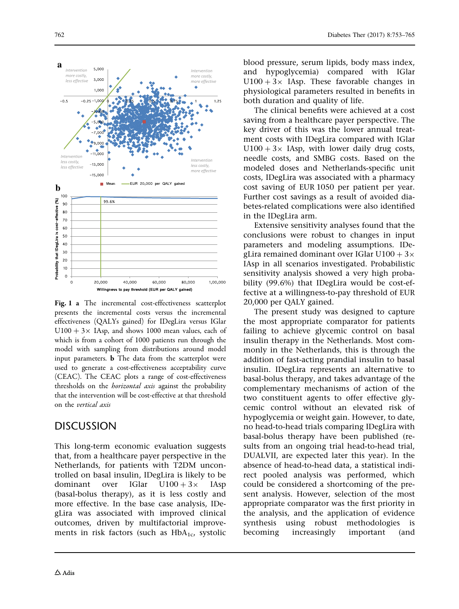Intervention Intervention more costly, more costly.  $3.000$ less effective more effective 1,000  $-0.5$  $-0.25 - 1,00$  $1.25$  $-11.000$ Intervention **Interventior** less costly  $-13,000$ less costly. less effective more effective  $-15.000$  $Mear$ FUR 20,000 per OALY gainer **b** (%) 99.6%  $9C$ cost-effective 80  $70$ 60 DegLira is  $50$  $40$  $3<sup>c</sup>$ that  $2<sup>c</sup>$ Probability  $10$  $\circ$  $\circ$ 20,000 40,000 60,000 80,000 1,00,000 Willingness to pay threshold (EUR per QALY gained)

Fig. 1 a The incremental cost-effectiveness scatterplot presents the incremental costs versus the incremental effectiveness (QALYs gained) for IDegLira versus IGlar  $U100 + 3 \times$  IAsp, and shows 1000 mean values, each of which is from a cohort of 1000 patients run through the model with sampling from distributions around model input parameters. b The data from the scatterplot were used to generate a cost-effectiveness acceptability curve (CEAC). The CEAC plots a range of cost-effectiveness thresholds on the *horizontal axis* against the probability that the intervention will be cost-effective at that threshold on the vertical axis

## DISCUSSION

This long-term economic evaluation suggests that, from a healthcare payer perspective in the Netherlands, for patients with T2DM uncontrolled on basal insulin, IDegLira is likely to be dominant over IGlar  $U100 + 3 \times$  IAsp (basal-bolus therapy), as it is less costly and more effective. In the base case analysis, IDegLira was associated with improved clinical outcomes, driven by multifactorial improvements in risk factors (such as  $HbA_{1c}$ , systolic blood pressure, serum lipids, body mass index, and hypoglycemia) compared with IGlar  $U100 + 3 \times$  IAsp. These favorable changes in physiological parameters resulted in benefits in both duration and quality of life.

The clinical benefits were achieved at a cost saving from a healthcare payer perspective. The key driver of this was the lower annual treatment costs with IDegLira compared with IGlar  $U100 + 3 \times$  IAsp, with lower daily drug costs, needle costs, and SMBG costs. Based on the modeled doses and Netherlands-specific unit costs, IDegLira was associated with a pharmacy cost saving of EUR 1050 per patient per year. Further cost savings as a result of avoided diabetes-related complications were also identified in the IDegLira arm.

Extensive sensitivity analyses found that the conclusions were robust to changes in input parameters and modeling assumptions. IDegLira remained dominant over IGlar  $U100 + 3 \times$ IAsp in all scenarios investigated. Probabilistic sensitivity analysis showed a very high probability (99.6%) that IDegLira would be cost-effective at a willingness-to-pay threshold of EUR 20,000 per QALY gained.

The present study was designed to capture the most appropriate comparator for patients failing to achieve glycemic control on basal insulin therapy in the Netherlands. Most commonly in the Netherlands, this is through the addition of fast-acting prandial insulin to basal insulin. IDegLira represents an alternative to basal-bolus therapy, and takes advantage of the complementary mechanisms of action of the two constituent agents to offer effective glycemic control without an elevated risk of hypoglycemia or weight gain. However, to date, no head-to-head trials comparing IDegLira with basal-bolus therapy have been published (results from an ongoing trial head-to-head trial, DUALVII, are expected later this year). In the absence of head-to-head data, a statistical indirect pooled analysis was performed, which could be considered a shortcoming of the present analysis. However, selection of the most appropriate comparator was the first priority in the analysis, and the application of evidence synthesis using robust methodologies is becoming increasingly important (and

<span id="page-9-0"></span>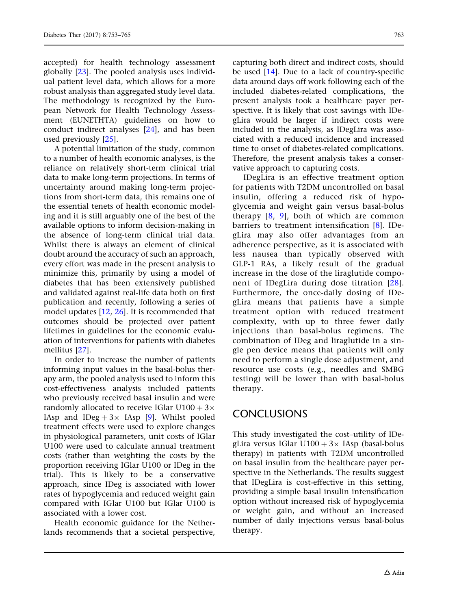accepted) for health technology assessment globally [[23](#page-12-0)]. The pooled analysis uses individual patient level data, which allows for a more robust analysis than aggregated study level data. The methodology is recognized by the European Network for Health Technology Assessment (EUNETHTA) guidelines on how to conduct indirect analyses [\[24\]](#page-12-0), and has been used previously [\[25\]](#page-12-0).

A potential limitation of the study, common to a number of health economic analyses, is the reliance on relatively short-term clinical trial data to make long-term projections. In terms of uncertainty around making long-term projections from short-term data, this remains one of the essential tenets of health economic modeling and it is still arguably one of the best of the available options to inform decision-making in the absence of long-term clinical trial data. Whilst there is always an element of clinical doubt around the accuracy of such an approach, every effort was made in the present analysis to minimize this, primarily by using a model of diabetes that has been extensively published and validated against real-life data both on first publication and recently, following a series of model updates [[12](#page-12-0), [26](#page-12-0)]. It is recommended that outcomes should be projected over patient lifetimes in guidelines for the economic evaluation of interventions for patients with diabetes mellitus [\[27\]](#page-12-0).

In order to increase the number of patients informing input values in the basal-bolus therapy arm, the pooled analysis used to inform this cost-effectiveness analysis included patients who previously received basal insulin and were randomly allocated to receive IGlar  $U100 + 3\times$ IAsp and IDeg  $+3\times$  IAsp [[9](#page-12-0)]. Whilst pooled treatment effects were used to explore changes in physiological parameters, unit costs of IGlar U100 were used to calculate annual treatment costs (rather than weighting the costs by the proportion receiving IGlar U100 or IDeg in the trial). This is likely to be a conservative approach, since IDeg is associated with lower rates of hypoglycemia and reduced weight gain compared with IGlar U100 but IGlar U100 is associated with a lower cost.

Health economic guidance for the Netherlands recommends that a societal perspective,

capturing both direct and indirect costs, should be used  $[14]$  $[14]$  $[14]$ . Due to a lack of country-specific data around days off work following each of the included diabetes-related complications, the present analysis took a healthcare payer perspective. It is likely that cost savings with IDegLira would be larger if indirect costs were included in the analysis, as IDegLira was associated with a reduced incidence and increased time to onset of diabetes-related complications. Therefore, the present analysis takes a conservative approach to capturing costs.

IDegLira is an effective treatment option for patients with T2DM uncontrolled on basal insulin, offering a reduced risk of hypoglycemia and weight gain versus basal-bolus therapy  $[8, 9]$  $[8, 9]$  $[8, 9]$ , both of which are common barriers to treatment intensification [\[8](#page-11-0)]. IDegLira may also offer advantages from an adherence perspective, as it is associated with less nausea than typically observed with GLP-1 RAs, a likely result of the gradual increase in the dose of the liraglutide component of IDegLira during dose titration [[28\]](#page-12-0). Furthermore, the once-daily dosing of IDegLira means that patients have a simple treatment option with reduced treatment complexity, with up to three fewer daily injections than basal-bolus regimens. The combination of IDeg and liraglutide in a single pen device means that patients will only need to perform a single dose adjustment, and resource use costs (e.g., needles and SMBG testing) will be lower than with basal-bolus therapy.

## CONCLUSIONS

This study investigated the cost–utility of IDegLira versus IGlar  $U100 + 3 \times$  IAsp (basal-bolus therapy) in patients with T2DM uncontrolled on basal insulin from the healthcare payer perspective in the Netherlands. The results suggest that IDegLira is cost-effective in this setting, providing a simple basal insulin intensification option without increased risk of hypoglycemia or weight gain, and without an increased number of daily injections versus basal-bolus therapy.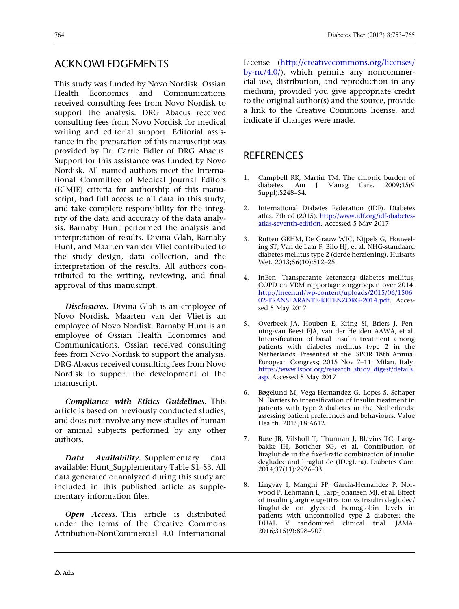## <span id="page-11-0"></span>ACKNOWLEDGEMENTS

This study was funded by Novo Nordisk. Ossian Health Economics and Communications received consulting fees from Novo Nordisk to support the analysis. DRG Abacus received consulting fees from Novo Nordisk for medical writing and editorial support. Editorial assistance in the preparation of this manuscript was provided by Dr. Carrie Fidler of DRG Abacus. Support for this assistance was funded by Novo Nordisk. All named authors meet the International Committee of Medical Journal Editors (ICMJE) criteria for authorship of this manuscript, had full access to all data in this study, and take complete responsibility for the integrity of the data and accuracy of the data analysis. Barnaby Hunt performed the analysis and interpretation of results. Divina Glah, Barnaby Hunt, and Maarten van der Vliet contributed to the study design, data collection, and the interpretation of the results. All authors contributed to the writing, reviewing, and final approval of this manuscript.

Disclosures. Divina Glah is an employee of Novo Nordisk. Maarten van der Vliet is an employee of Novo Nordisk. Barnaby Hunt is an employee of Ossian Health Economics and Communications. Ossian received consulting fees from Novo Nordisk to support the analysis. DRG Abacus received consulting fees from Novo Nordisk to support the development of the manuscript.

Compliance with Ethics Guidelines. This article is based on previously conducted studies, and does not involve any new studies of human or animal subjects performed by any other authors.

Data Availability. Supplementary data available: Hunt\_Supplementary Table S1–S3. All data generated or analyzed during this study are included in this published article as supplementary information files.

Open Access. This article is distributed under the terms of the Creative Commons Attribution-NonCommercial 4.0 International License ([http://creativecommons.org/licenses/](http://creativecommons.org/licenses/by-nc/4.0/)  $by-nc/4.0/$ , which permits any noncommercial use, distribution, and reproduction in any medium, provided you give appropriate credit to the original author(s) and the source, provide a link to the Creative Commons license, and indicate if changes were made.

## **REFERENCES**

- 1. Campbell RK, Martin TM. The chronic burden of diabetes. Am J Manag Care. 2009;15(9 Suppl):S248–54.
- 2. International Diabetes Federation (IDF). Diabetes atlas. 7th ed (2015). [http://www.idf.org/idf-diabetes](http://www.idf.org/idf-diabetes-atlas-seventh-edition)[atlas-seventh-edition](http://www.idf.org/idf-diabetes-atlas-seventh-edition). Accessed 5 May 2017
- 3. Rutten GEHM, De Grauw WJC, Nijpels G, Houweling ST, Van de Laar F, Bilo HJ, et al. NHG-standaard diabetes mellitus type 2 (derde herziening). Huisarts Wet. 2013;56(10):512-25.
- 4. InEen. Transparante ketenzorg diabetes mellitus, COPD en VRM rapportage zorggroepen over 2014. [http://ineen.nl/wp-content/uploads/2015/06/1506](http://ineen.nl/wp-content/uploads/2015/06/150602-TRANSPARANTE-KETENZORG-2014.pdf) [02-TRANSPARANTE-KETENZORG-2014.pdf.](http://ineen.nl/wp-content/uploads/2015/06/150602-TRANSPARANTE-KETENZORG-2014.pdf) Accessed 5 May 2017
- 5. Overbeek JA, Houben E, Kring SI, Briers J, Penning-van Beest FJA, van der Heijden AAWA, et al. Intensification of basal insulin treatment among patients with diabetes mellitus type 2 in the Netherlands. Presented at the ISPOR 18th Annual European Congress; 2015 Nov 7–11; Milan, Italy. [https://www.ispor.org/research\\_study\\_digest/details.](https://www.ispor.org/research_study_digest/details.asp) [asp.](https://www.ispor.org/research_study_digest/details.asp) Accessed 5 May 2017
- 6. Bøgelund M, Vega-Hernandez G, Lopes S, Schaper N. Barriers to intensification of insulin treatment in patients with type 2 diabetes in the Netherlands: assessing patient preferences and behaviours. Value Health. 2015;18:A612.
- 7. Buse JB, Vilsboll T, Thurman J, Blevins TC, Langbakke IH, Bottcher SG, et al. Contribution of liraglutide in the fixed-ratio combination of insulin degludec and liraglutide (IDegLira). Diabetes Care. 2014;37(11):2926–33.
- 8. Lingvay I, Manghi FP, Garcia-Hernandez P, Norwood P, Lehmann L, Tarp-Johansen MJ, et al. Effect of insulin glargine up-titration vs insulin degludec/ liraglutide on glycated hemoglobin levels in patients with uncontrolled type 2 diabetes: the DUAL V randomized clinical trial. JAMA. 2016;315(9):898–907.